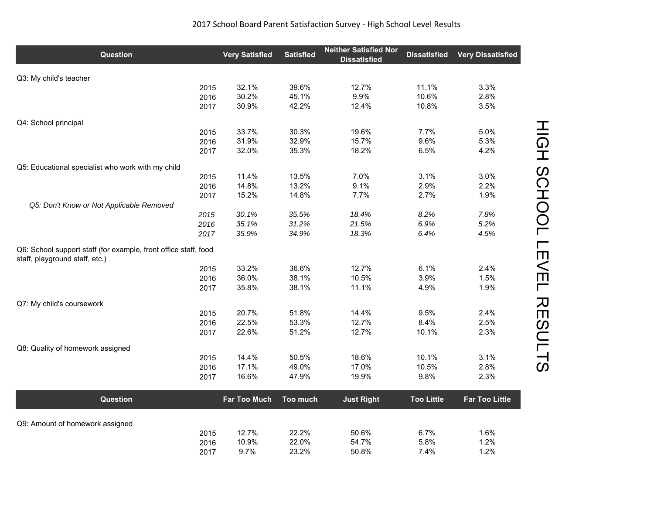| <b>Question</b>                                                                                   |      | <b>Very Satisfied</b> | <b>Satisfied</b> | <b>Neither Satisfied Nor</b><br><b>Dissatisfied</b> | <b>Dissatisfied</b> | <b>Very Dissatisfied</b> |
|---------------------------------------------------------------------------------------------------|------|-----------------------|------------------|-----------------------------------------------------|---------------------|--------------------------|
| Q3: My child's teacher                                                                            |      |                       |                  |                                                     |                     |                          |
|                                                                                                   | 2015 | 32.1%                 | 39.6%            | 12.7%                                               | 11.1%               | 3.3%                     |
|                                                                                                   | 2016 | 30.2%                 | 45.1%            | 9.9%                                                | 10.6%               | 2.8%                     |
|                                                                                                   | 2017 | 30.9%                 | 42.2%            | 12.4%                                               | 10.8%               | 3.5%                     |
| Q4: School principal                                                                              |      |                       |                  |                                                     |                     |                          |
|                                                                                                   | 2015 | 33.7%                 | 30.3%            | 19.6%                                               | 7.7%                | 5.0%                     |
|                                                                                                   | 2016 | 31.9%                 | 32.9%            | 15.7%                                               | 9.6%                | 5.3%                     |
|                                                                                                   | 2017 | 32.0%                 | 35.3%            | 18.2%                                               | 6.5%                | 4.2%                     |
| Q5: Educational specialist who work with my child                                                 |      |                       |                  |                                                     |                     |                          |
|                                                                                                   | 2015 | 11.4%                 | 13.5%            | 7.0%                                                | 3.1%                | 3.0%                     |
|                                                                                                   | 2016 | 14.8%                 | 13.2%            | 9.1%                                                | 2.9%                | 2.2%                     |
|                                                                                                   | 2017 | 15.2%                 | 14.8%            | 7.7%                                                | 2.7%                | 1.9%                     |
| Q5: Don't Know or Not Applicable Removed                                                          | 2015 | 30.1%                 | 35.5%            | 18.4%                                               | 8.2%                | 7.8%                     |
|                                                                                                   | 2016 | 35.1%                 | 31.2%            | 21.5%                                               | 6.9%                | 5.2%                     |
|                                                                                                   | 2017 | 35.9%                 | 34.9%            | 18.3%                                               | 6.4%                | 4.5%                     |
| Q6: School support staff (for example, front office staff, food<br>staff, playground staff, etc.) |      |                       |                  |                                                     |                     |                          |
|                                                                                                   | 2015 | 33.2%                 | 36.6%            | 12.7%                                               | 6.1%                | 2.4%                     |
|                                                                                                   | 2016 | 36.0%                 | 38.1%            | 10.5%                                               | 3.9%                | 1.5%                     |
|                                                                                                   | 2017 | 35.8%                 | 38.1%            | 11.1%                                               | 4.9%                | 1.9%                     |
| Q7: My child's coursework                                                                         |      |                       |                  |                                                     |                     |                          |
|                                                                                                   | 2015 | 20.7%                 | 51.8%            | 14.4%                                               | 9.5%                | 2.4%                     |
|                                                                                                   | 2016 | 22.5%                 | 53.3%            | 12.7%                                               | 8.4%                | 2.5%                     |
|                                                                                                   | 2017 | 22.6%                 | 51.2%            | 12.7%                                               | 10.1%               | 2.3%                     |
| Q8: Quality of homework assigned                                                                  |      |                       |                  |                                                     |                     |                          |
|                                                                                                   | 2015 | 14.4%                 | 50.5%            | 18.6%                                               | 10.1%               | 3.1%                     |
|                                                                                                   | 2016 | 17.1%                 | 49.0%            | 17.0%                                               | 10.5%               | 2.8%                     |
|                                                                                                   | 2017 | 16.6%                 | 47.9%            | 19.9%                                               | 9.8%                | 2.3%                     |
| <b>Question</b>                                                                                   |      | <b>Far Too Much</b>   | Too much         | <b>Just Right</b>                                   | <b>Too Little</b>   | <b>Far Too Little</b>    |
|                                                                                                   |      |                       |                  |                                                     |                     |                          |
| Q9: Amount of homework assigned                                                                   | 2015 | 12.7%                 | 22.2%            | 50.6%                                               | 6.7%                | 1.6%                     |
|                                                                                                   | 2016 | 10.9%                 | 22.0%            | 54.7%                                               | 5.8%                | 1.2%                     |
|                                                                                                   | 2017 | 9.7%                  | 23.2%            | 50.8%                                               | 7.4%                | 1.2%                     |

HIGH SCHOOL LEVEL RESULTS HIGH SCHOOL LEVEL RESULTS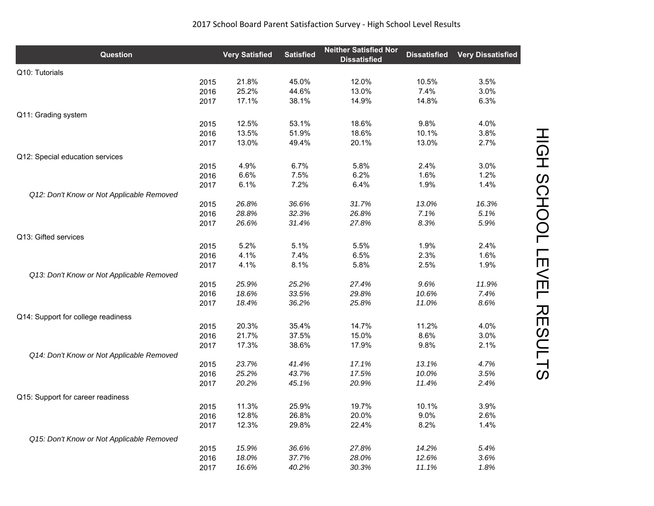| <b>Question</b>                           |              | <b>Very Satisfied</b> | <b>Satisfied</b> | <b>Neither Satisfied Nor</b><br><b>Dissatisfied</b> | <b>Dissatisfied</b> | <b>Very Dissatisfied</b> |
|-------------------------------------------|--------------|-----------------------|------------------|-----------------------------------------------------|---------------------|--------------------------|
| Q10: Tutorials                            |              |                       |                  |                                                     |                     |                          |
|                                           | 2015         | 21.8%                 | 45.0%            | 12.0%                                               | 10.5%               | 3.5%                     |
|                                           | 2016         | 25.2%                 | 44.6%            | 13.0%                                               | 7.4%                | 3.0%                     |
|                                           | 2017         | 17.1%                 | 38.1%            | 14.9%                                               | 14.8%               | 6.3%                     |
| Q11: Grading system                       |              |                       |                  |                                                     |                     |                          |
|                                           | 2015         | 12.5%                 | 53.1%            | 18.6%                                               | 9.8%                | 4.0%                     |
|                                           | 2016         | 13.5%                 | 51.9%            | 18.6%                                               | 10.1%               | 3.8%                     |
|                                           | 2017         | 13.0%                 | 49.4%            | 20.1%                                               | 13.0%               | 2.7%                     |
| Q12: Special education services           |              |                       |                  |                                                     |                     |                          |
|                                           | 2015         | 4.9%                  | 6.7%             | 5.8%                                                | 2.4%                | 3.0%                     |
|                                           | 2016         | 6.6%                  | 7.5%             | 6.2%                                                | 1.6%                | 1.2%                     |
|                                           | 2017         | 6.1%                  | 7.2%             | 6.4%                                                | 1.9%                | 1.4%                     |
| Q12: Don't Know or Not Applicable Removed |              |                       |                  |                                                     |                     |                          |
|                                           | 2015         | 26.8%                 | 36.6%            | 31.7%                                               | 13.0%               | 16.3%                    |
|                                           | 2016         | 28.8%                 | 32.3%            | 26.8%                                               | 7.1%                | 5.1%                     |
|                                           | 2017         | 26.6%                 | 31.4%            | 27.8%                                               | 8.3%                | 5.9%                     |
|                                           |              |                       |                  |                                                     |                     |                          |
| Q13: Gifted services                      |              | 5.2%                  | 5.1%             | 5.5%                                                | 1.9%                | $2.4\%$                  |
|                                           | 2015         | 4.1%                  | 7.4%             | 6.5%                                                | 2.3%                | 1.6%                     |
|                                           | 2016<br>2017 | 4.1%                  | 8.1%             | 5.8%                                                | 2.5%                | 1.9%                     |
| Q13: Don't Know or Not Applicable Removed |              |                       |                  |                                                     |                     |                          |
|                                           | 2015         | 25.9%                 | 25.2%            | 27.4%                                               | 9.6%                | 11.9%                    |
|                                           | 2016         | 18.6%                 | 33.5%            | 29.8%                                               | 10.6%               | 7.4%                     |
|                                           | 2017         | 18.4%                 | 36.2%            | 25.8%                                               | 11.0%               | 8.6%                     |
|                                           |              |                       |                  |                                                     |                     |                          |
| Q14: Support for college readiness        |              |                       |                  |                                                     |                     |                          |
|                                           | 2015         | 20.3%                 | 35.4%            | 14.7%                                               | 11.2%               | 4.0%                     |
|                                           | 2016         | 21.7%                 | 37.5%            | 15.0%                                               | 8.6%                | 3.0%                     |
|                                           | 2017         | 17.3%                 | 38.6%            | 17.9%                                               | 9.8%                | 2.1%                     |
| Q14: Don't Know or Not Applicable Removed |              | 23.7%                 |                  | 17.1%                                               |                     |                          |
|                                           | 2015<br>2016 | 25.2%                 | 41.4%            |                                                     | 13.1%               | 4.7%<br>3.5%             |
|                                           | 2017         | 20.2%                 | 43.7%<br>45.1%   | 17.5%<br>20.9%                                      | 10.0%<br>11.4%      | 2.4%                     |
|                                           |              |                       |                  |                                                     |                     |                          |
| Q15: Support for career readiness         |              |                       |                  |                                                     |                     |                          |
|                                           | 2015         | 11.3%                 | 25.9%            | 19.7%                                               | 10.1%               | 3.9%                     |
|                                           | 2016         | 12.8%                 | 26.8%            | 20.0%                                               | 9.0%                | 2.6%                     |
|                                           | 2017         | 12.3%                 | 29.8%            | 22.4%                                               | 8.2%                | 1.4%                     |
| Q15: Don't Know or Not Applicable Removed |              |                       |                  |                                                     |                     |                          |
|                                           | 2015         | 15.9%                 | 36.6%            | 27.8%                                               | 14.2%               | 5.4%                     |
|                                           | 2016         | 18.0%                 | 37.7%            | 28.0%                                               | 12.6%               | 3.6%                     |
|                                           | 2017         | 16.6%                 | 40.2%            | 30.3%                                               | 11.1%               | 1.8%                     |

HIGH SCHOOL LEVEL RESULTS HIGH SCHOOL LEVEL RESULTS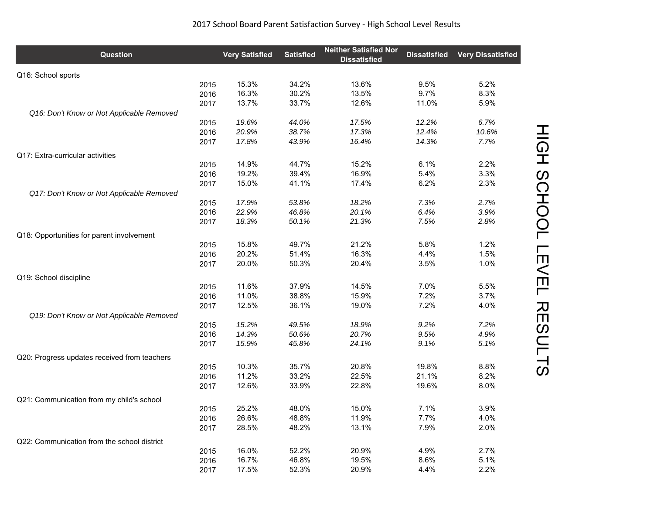| <b>Question</b>                              | <b>Very Satisfied</b> | <b>Satisfied</b> | <b>Neither Satisfied Nor</b><br><b>Dissatisfied</b> | <b>Dissatisfied</b> | <b>Very Dissatisfied</b> |
|----------------------------------------------|-----------------------|------------------|-----------------------------------------------------|---------------------|--------------------------|
| Q16: School sports                           |                       |                  |                                                     |                     |                          |
| 2015                                         | 15.3%                 | 34.2%            | 13.6%                                               | 9.5%                | 5.2%                     |
| 2016                                         | 16.3%                 | 30.2%            | 13.5%                                               | 9.7%                | 8.3%                     |
| 2017                                         | 13.7%                 | 33.7%            | 12.6%                                               | 11.0%               | 5.9%                     |
| Q16: Don't Know or Not Applicable Removed    |                       |                  |                                                     |                     |                          |
| 2015                                         | 19.6%                 | 44.0%            | 17.5%                                               | 12.2%               | 6.7%                     |
| 2016                                         | 20.9%                 | 38.7%            | 17.3%                                               | 12.4%               | 10.6%                    |
| 2017                                         | 17.8%                 | 43.9%            | 16.4%                                               | 14.3%               | 7.7%                     |
| Q17: Extra-curricular activities             |                       |                  |                                                     |                     |                          |
| 2015                                         | 14.9%                 | 44.7%            | 15.2%                                               | 6.1%                | 2.2%                     |
| 2016                                         | 19.2%                 | 39.4%            | 16.9%                                               | 5.4%                | 3.3%                     |
| 2017                                         | 15.0%                 | 41.1%            | 17.4%                                               | 6.2%                | 2.3%                     |
| Q17: Don't Know or Not Applicable Removed    |                       |                  |                                                     |                     |                          |
| 2015                                         | 17.9%                 | 53.8%            | 18.2%                                               | 7.3%                | 2.7%                     |
| 2016                                         | 22.9%                 | 46.8%            | 20.1%                                               | 6.4%                | 3.9%                     |
| 2017                                         | 18.3%                 | 50.1%            | 21.3%                                               | 7.5%                | 2.8%                     |
| Q18: Opportunities for parent involvement    |                       |                  |                                                     |                     |                          |
| 2015                                         | 15.8%                 | 49.7%            | 21.2%                                               | 5.8%                | 1.2%                     |
| 2016                                         | 20.2%                 | 51.4%            | 16.3%                                               | 4.4%                | 1.5%                     |
| 2017                                         | 20.0%                 | 50.3%            | 20.4%                                               | 3.5%                | 1.0%                     |
| Q19: School discipline                       |                       |                  |                                                     |                     |                          |
| 2015                                         | 11.6%                 | 37.9%            | 14.5%                                               | 7.0%                | 5.5%                     |
| 2016                                         | 11.0%                 | 38.8%            | 15.9%                                               | 7.2%                | 3.7%                     |
| 2017                                         | 12.5%                 | 36.1%            | 19.0%                                               | 7.2%                | 4.0%                     |
| Q19: Don't Know or Not Applicable Removed    |                       |                  |                                                     |                     |                          |
| 2015                                         | 15.2%                 | 49.5%            | 18.9%                                               | 9.2%                | 7.2%                     |
| 2016                                         | 14.3%                 | 50.6%            | 20.7%                                               | 9.5%                | 4.9%                     |
| 2017                                         | 15.9%                 | 45.8%            | 24.1%                                               | 9.1%                | 5.1%                     |
| Q20: Progress updates received from teachers |                       |                  |                                                     |                     |                          |
| 2015                                         | 10.3%                 | 35.7%            | 20.8%                                               | 19.8%               | 8.8%                     |
| 2016                                         | 11.2%                 | 33.2%            | 22.5%                                               | 21.1%               | 8.2%                     |
| 2017                                         | 12.6%                 | 33.9%            | 22.8%                                               | 19.6%               | 8.0%                     |
| Q21: Communication from my child's school    |                       |                  |                                                     |                     |                          |
| 2015                                         | 25.2%                 | 48.0%            | 15.0%                                               | 7.1%                | 3.9%                     |
| 2016                                         | 26.6%                 | 48.8%            | 11.9%                                               | 7.7%                | 4.0%                     |
| 2017                                         | 28.5%                 | 48.2%            | 13.1%                                               | 7.9%                | 2.0%                     |
| Q22: Communication from the school district  |                       |                  |                                                     |                     |                          |
| 2015                                         | 16.0%                 | 52.2%            | 20.9%                                               | 4.9%                | 2.7%                     |
| 2016                                         | 16.7%                 | 46.8%            | 19.5%                                               | 8.6%                | 5.1%                     |
| 2017                                         | 17.5%                 | 52.3%            | 20.9%                                               | 4.4%                | 2.2%                     |